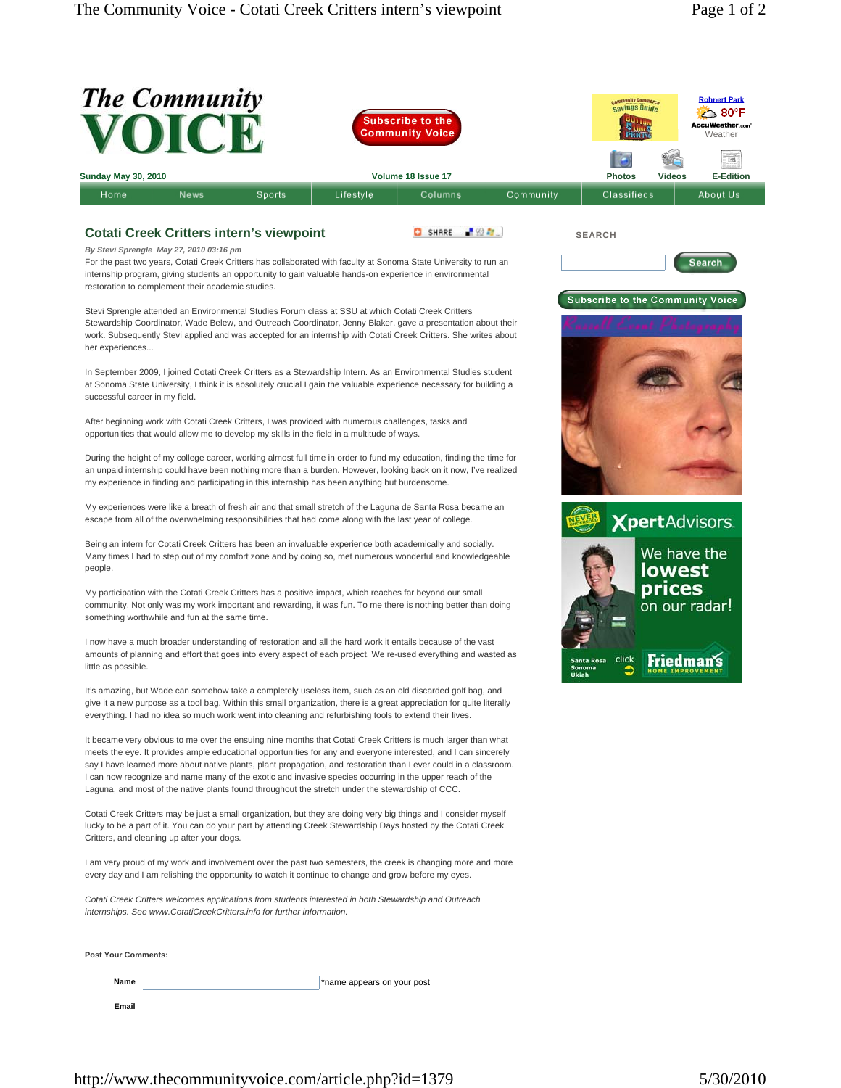| The Community<br><b>VOICE</b><br><b>Subscribe to the</b><br>Community Voice                                                                                                                                                                                                                                                                                                                                                                                                                                                                                           |                            |                               |           | e.ommunity Commorce<br>Savings Guide                     |                              | <b>Rohnert Park</b><br>⊾ 80°F<br>AccuWeather.com<br>Weather |
|-----------------------------------------------------------------------------------------------------------------------------------------------------------------------------------------------------------------------------------------------------------------------------------------------------------------------------------------------------------------------------------------------------------------------------------------------------------------------------------------------------------------------------------------------------------------------|----------------------------|-------------------------------|-----------|----------------------------------------------------------|------------------------------|-------------------------------------------------------------|
|                                                                                                                                                                                                                                                                                                                                                                                                                                                                                                                                                                       |                            |                               |           |                                                          |                              | $\frac{1}{\sqrt{2}}$                                        |
| <b>Sunday May 30, 2010</b><br>Sports<br>Home<br>News                                                                                                                                                                                                                                                                                                                                                                                                                                                                                                                  | Lifestyle                  | Volume 18 Issue 17<br>Columns | Community | <b>Photos</b><br>Classifieds                             | <b>Videos</b>                | <b>E-Edition</b><br>About Us                                |
|                                                                                                                                                                                                                                                                                                                                                                                                                                                                                                                                                                       |                            |                               |           |                                                          |                              |                                                             |
| <b>Cotati Creek Critters intern's viewpoint</b><br>By Stevi Sprengle May 27, 2010 03:16 pm<br>For the past two years, Cotati Creek Critters has collaborated with faculty at Sonoma State University to run an<br>internship program, giving students an opportunity to gain valuable hands-on experience in environmental<br>restoration to complement their academic studies.                                                                                                                                                                                       |                            | -92 Pr.<br>SHARE              |           | <b>SEARCH</b><br><b>Subscribe to the Community Voice</b> |                              | Search                                                      |
| Stevi Sprengle attended an Environmental Studies Forum class at SSU at which Cotati Creek Critters<br>Stewardship Coordinator, Wade Belew, and Outreach Coordinator, Jenny Blaker, gave a presentation about their<br>work. Subsequently Stevi applied and was accepted for an internship with Cotati Creek Critters. She writes about<br>her experiences                                                                                                                                                                                                             |                            |                               |           |                                                          |                              |                                                             |
| In September 2009, I joined Cotati Creek Critters as a Stewardship Intern. As an Environmental Studies student<br>at Sonoma State University, I think it is absolutely crucial I gain the valuable experience necessary for building a<br>successful career in my field.                                                                                                                                                                                                                                                                                              |                            |                               |           |                                                          |                              |                                                             |
| After beginning work with Cotati Creek Critters, I was provided with numerous challenges, tasks and<br>opportunities that would allow me to develop my skills in the field in a multitude of ways.                                                                                                                                                                                                                                                                                                                                                                    |                            |                               |           |                                                          |                              |                                                             |
| During the height of my college career, working almost full time in order to fund my education, finding the time for<br>an unpaid internship could have been nothing more than a burden. However, looking back on it now, I've realized<br>my experience in finding and participating in this internship has been anything but burdensome.                                                                                                                                                                                                                            |                            |                               |           |                                                          |                              |                                                             |
| My experiences were like a breath of fresh air and that small stretch of the Laguna de Santa Rosa became an<br>escape from all of the overwhelming responsibilities that had come along with the last year of college.                                                                                                                                                                                                                                                                                                                                                |                            |                               |           |                                                          |                              | <b>XpertAdvisors.</b>                                       |
| Being an intern for Cotati Creek Critters has been an invaluable experience both academically and socially.<br>Many times I had to step out of my comfort zone and by doing so, met numerous wonderful and knowledgeable<br>people.                                                                                                                                                                                                                                                                                                                                   |                            |                               |           |                                                          | We have the<br><b>lowest</b> |                                                             |
| My participation with the Cotati Creek Critters has a positive impact, which reaches far beyond our small<br>community. Not only was my work important and rewarding, it was fun. To me there is nothing better than doing<br>something worthwhile and fun at the same time.                                                                                                                                                                                                                                                                                          |                            |                               |           |                                                          | prices<br>on our radar!      |                                                             |
| I now have a much broader understanding of restoration and all the hard work it entails because of the vast<br>amounts of planning and effort that goes into every aspect of each project. We re-used everything and wasted as<br>little as possible.                                                                                                                                                                                                                                                                                                                 |                            |                               | Ukiah     | click<br>Santa Rosa<br>Sonoma                            | Friedman's                   |                                                             |
| It's amazing, but Wade can somehow take a completely useless item, such as an old discarded golf bag, and<br>give it a new purpose as a tool bag. Within this small organization, there is a great appreciation for quite literally<br>everything. I had no idea so much work went into cleaning and refurbishing tools to extend their lives.                                                                                                                                                                                                                        |                            |                               |           |                                                          |                              |                                                             |
| It became very obvious to me over the ensuing nine months that Cotati Creek Critters is much larger than what<br>meets the eye. It provides ample educational opportunities for any and everyone interested, and I can sincerely<br>say I have learned more about native plants, plant propagation, and restoration than I ever could in a classroom.<br>I can now recognize and name many of the exotic and invasive species occurring in the upper reach of the<br>Laguna, and most of the native plants found throughout the stretch under the stewardship of CCC. |                            |                               |           |                                                          |                              |                                                             |
| Cotati Creek Critters may be just a small organization, but they are doing very big things and I consider myself<br>lucky to be a part of it. You can do your part by attending Creek Stewardship Days hosted by the Cotati Creek<br>Critters, and cleaning up after your dogs.                                                                                                                                                                                                                                                                                       |                            |                               |           |                                                          |                              |                                                             |
| I am very proud of my work and involvement over the past two semesters, the creek is changing more and more<br>every day and I am relishing the opportunity to watch it continue to change and grow before my eyes.                                                                                                                                                                                                                                                                                                                                                   |                            |                               |           |                                                          |                              |                                                             |
| Cotati Creek Critters welcomes applications from students interested in both Stewardship and Outreach<br>internships. See www.CotatiCreekCritters.info for further information.                                                                                                                                                                                                                                                                                                                                                                                       |                            |                               |           |                                                          |                              |                                                             |
| <b>Post Your Comments:</b>                                                                                                                                                                                                                                                                                                                                                                                                                                                                                                                                            |                            |                               |           |                                                          |                              |                                                             |
| Name                                                                                                                                                                                                                                                                                                                                                                                                                                                                                                                                                                  | *name appears on your post |                               |           |                                                          |                              |                                                             |
| Email                                                                                                                                                                                                                                                                                                                                                                                                                                                                                                                                                                 |                            |                               |           |                                                          |                              |                                                             |